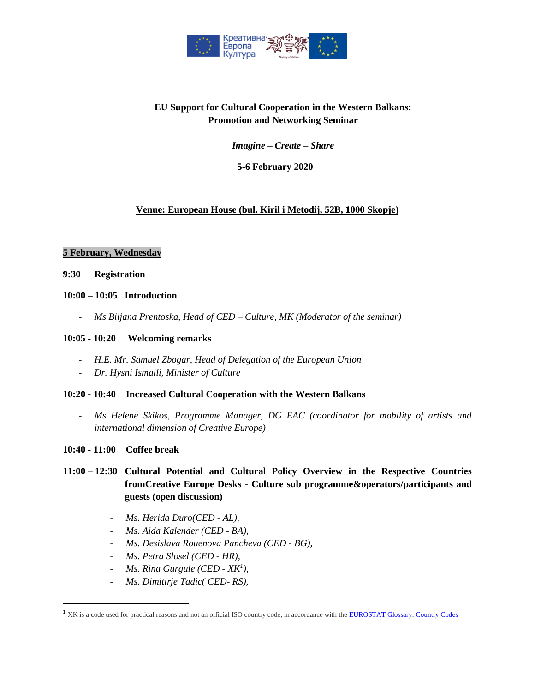

# **EU Support for Cultural Cooperation in the Western Balkans: Promotion and Networking Seminar**

*Imagine – Create – Share*

## **5-6 February 2020**

## **Venue: European House (bul. Kiril i Metodij, 52B, 1000 Skopje)**

#### **5 February, Wednesday**

- **9:30 Registration**
- **10:00 – 10:05 Introduction**
	- *Ms Biljana Prentoska, Head of CED – Culture, MK (Moderator of the seminar)*

#### **10:05 - 10:20 Welcoming remarks**

- *H.E. Mr. Samuel Zbogar, Head of Delegation of the European Union*
- *Dr. Hysni Ismaili, Minister of Culture*

#### **10:20 - 10:40 Increased Cultural Cooperation with the Western Balkans**

- *Ms Helene Skikos, Programme Manager, DG EAC (coordinator for mobility of artists and international dimension of Creative Europe)*
- **10:40 - 11:00 Coffee break**

 $\overline{\phantom{a}}$ 

# **11:00 – 12:30 Cultural Potential and Cultural Policy Overview in the Respective Countries fromCreative Europe Desks - Culture sub programme&operators/participants and guests (open discussion)**

- *Ms. Herida Duro(CED - AL),*
- *Ms. Aida Kalender (CED - BA),*
- *Ms. Desislava Rouenova Pancheva (CED - BG),*
- *Ms. Petra Slosel (CED - HR),*
- *Ms. Rina Gurgule (CED - XK<sup>1</sup> ),*
- *Ms. Dimitirje Tadic( CED- RS),*

<sup>&</sup>lt;sup>1</sup> XK is a code used for practical reasons and not an official ISO country code, in accordance with th[e EUROSTAT Glossary: Country Codes](https://ec.europa.eu/eurostat/statistics-explained/index.php/Glossary:Country_codes#cite_note-2)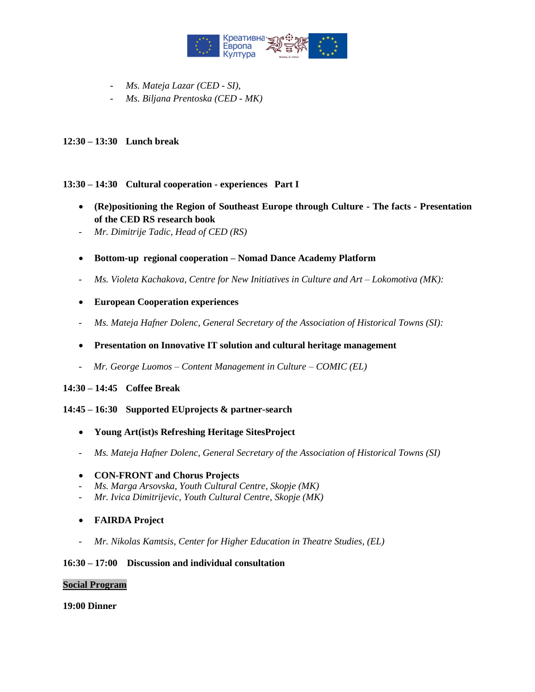

- *Ms. Mateja Lazar (CED - SI),*
- *Ms. Biljana Prentoska (CED - MK)*

### **12:30 – 13:30 Lunch break**

#### **13:30 – 14:30 Cultural cooperation - experiences Part I**

- **(Re)positioning the Region of Southeast Europe through Culture - The facts - Presentation of the CED RS research book**
- *Mr. Dimitrije Tadic, Head of CED (RS)*
- **Bottom-up regional cooperation – Nomad Dance Academy Platform**
- *- Ms. Violeta Kachakova, Centre for New Initiatives in Culture and Art – Lokomotiva (MK):*
- **European Cooperation experiences**
- *- Ms. Mateja Hafner Dolenc, General Secretary of the Association of Historical Towns (SI):*

### **Presentation on Innovative IT solution and cultural heritage management**

- *Mr. George Luomos – Content Management in Culture – COMIC (EL)*

#### **14:30 – 14:45 Coffee Break**

#### **14:45 – 16:30 Supported EUprojects & partner-search**

- **Young Art(ist)s Refreshing Heritage SitesProject**
- *- Ms. Mateja Hafner Dolenc, General Secretary of the Association of Historical Towns (SI)*

#### **CON-FRONT and Chorus Projects**

- *Ms. Marga Arsovska, Youth Cultural Centre, Skopje (MK)*
- *Mr. Ivica Dimitrijevic, Youth Cultural Centre, Skopje (MK)*
- **FAIRDA Project**
- *- Mr. Nikolas Kamtsis, Center for Higher Education in Theatre Studies, (EL)*

#### **16:30 – 17:00 Discussion and individual consultation**

#### **Social Program**

**19:00 Dinner**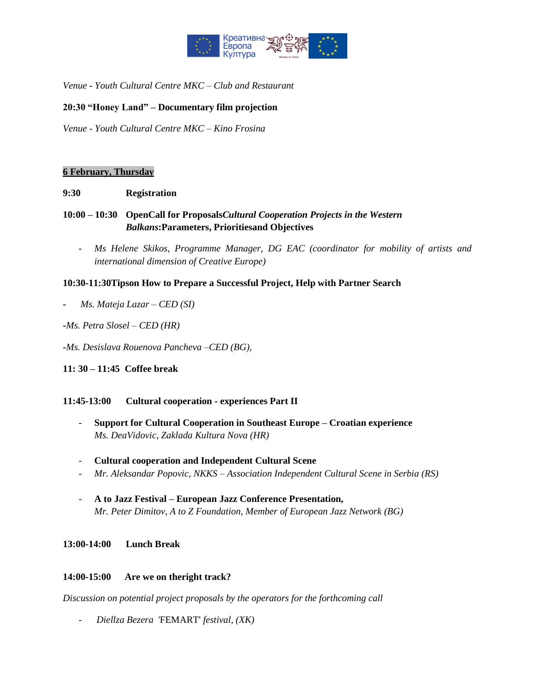

*Venue - Youth Cultural Centre MKC – Club and Restaurant* 

### **20:30 "Honey Land" – Documentary film projection**

*Venue - Youth Cultural Centre MKC – Kino Frosina*

#### **6 February, Thursday**

#### **9:30 Registration**

# **10:00 – 10:30 OpenCall for Proposals***Cultural Cooperation Projects in the Western Balkans***:Parameters, Prioritiesand Objectives**

- *Ms Helene Skikos, Programme Manager, DG EAC (coordinator for mobility of artists and international dimension of Creative Europe)* 

#### **10:30-11:30Tipson How to Prepare a Successful Project, Help with Partner Search**

- *Ms. Mateja Lazar – CED (SI)*
- **-***Ms. Petra Slosel – CED (HR)*
- **-***Ms. Desislava Rouenova Pancheva –CED (BG),*
- **11: 30 – 11:45 Coffee break**

#### **11:45-13:00 Cultural cooperation - experiences Part II**

- **Support for Cultural Cooperation in Southeast Europe – Croatian experience** *Ms. DeaVidovic, Zaklada Kultura Nova (HR)*
- **Cultural cooperation and Independent Cultural Scene**
- *Mr. Aleksandar Popovic, NKKS – Association Independent Cultural Scene in Serbia (RS)*
- **A to Jazz Festival – European Jazz Conference Presentation,** *Mr. Peter Dimitov, A to Z Foundation, Member of European Jazz Network (BG)*

**13:00-14:00 Lunch Break**

#### **14:00-15:00 Are we on theright track?**

*Discussion on potential project proposals by the operators for the forthcoming call* 

- *Diellza Bezera* 'FEMART' *festival, (XK)*